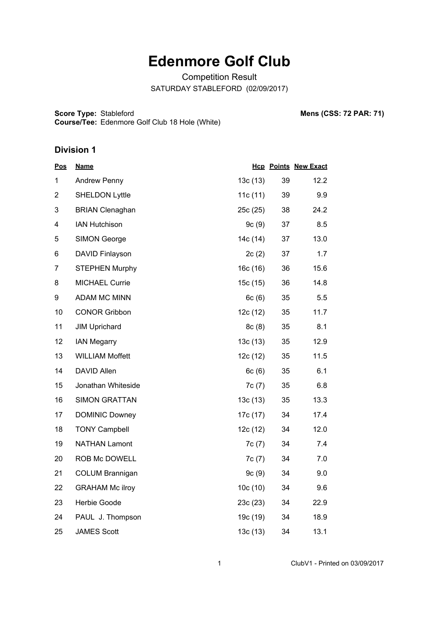# **Edenmore Golf Club**

Competition Result SATURDAY STABLEFORD (02/09/2017)

**Score Type: Course/Tee:** Stableford **Mens (CSS: 72 PAR: 71)** Edenmore Golf Club 18 Hole (White)

#### **Division 1**

| <u>Pos</u>     | <b>Name</b>            |          |    | <b>Hcp Points New Exact</b> |
|----------------|------------------------|----------|----|-----------------------------|
| 1              | <b>Andrew Penny</b>    | 13c(13)  | 39 | 12.2                        |
| $\overline{2}$ | <b>SHELDON Lyttle</b>  | 11c(11)  | 39 | 9.9                         |
| 3              | <b>BRIAN Clenaghan</b> | 25c (25) | 38 | 24.2                        |
| 4              | <b>IAN Hutchison</b>   | 9c(9)    | 37 | 8.5                         |
| 5              | <b>SIMON George</b>    | 14c (14) | 37 | 13.0                        |
| 6              | DAVID Finlayson        | 2c(2)    | 37 | 1.7                         |
| 7              | <b>STEPHEN Murphy</b>  | 16c(16)  | 36 | 15.6                        |
| 8              | <b>MICHAEL Currie</b>  | 15c(15)  | 36 | 14.8                        |
| 9              | <b>ADAM MC MINN</b>    | 6c(6)    | 35 | 5.5                         |
| 10             | <b>CONOR Gribbon</b>   | 12c(12)  | 35 | 11.7                        |
| 11             | <b>JIM Uprichard</b>   | 8c(8)    | 35 | 8.1                         |
| 12             | <b>IAN Megarry</b>     | 13c(13)  | 35 | 12.9                        |
| 13             | <b>WILLIAM Moffett</b> | 12c(12)  | 35 | 11.5                        |
| 14             | DAVID Allen            | 6c(6)    | 35 | 6.1                         |
| 15             | Jonathan Whiteside     | 7c(7)    | 35 | 6.8                         |
| 16             | <b>SIMON GRATTAN</b>   | 13c(13)  | 35 | 13.3                        |
| 17             | <b>DOMINIC Downey</b>  | 17c (17) | 34 | 17.4                        |
| 18             | <b>TONY Campbell</b>   | 12c(12)  | 34 | 12.0                        |
| 19             | <b>NATHAN Lamont</b>   | 7c(7)    | 34 | 7.4                         |
| 20             | ROB Mc DOWELL          | 7c(7)    | 34 | 7.0                         |
| 21             | <b>COLUM Brannigan</b> | 9c(9)    | 34 | 9.0                         |
| 22             | <b>GRAHAM Mc ilroy</b> | 10c(10)  | 34 | 9.6                         |
| 23             | Herbie Goode           | 23c (23) | 34 | 22.9                        |
| 24             | PAUL J. Thompson       | 19c (19) | 34 | 18.9                        |
| 25             | <b>JAMES Scott</b>     | 13c(13)  | 34 | 13.1                        |

1 ClubV1 - Printed on 03/09/2017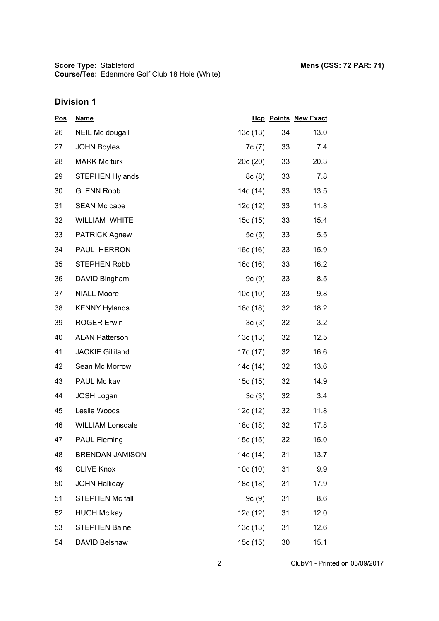| <u>Pos</u> | <b>Name</b>             |          |    | <b>Hcp Points New Exact</b> |
|------------|-------------------------|----------|----|-----------------------------|
| 26         | <b>NEIL Mc dougall</b>  | 13c(13)  | 34 | 13.0                        |
| 27         | <b>JOHN Boyles</b>      | 7c(7)    | 33 | 7.4                         |
| 28         | <b>MARK Mc turk</b>     | 20c(20)  | 33 | 20.3                        |
| 29         | <b>STEPHEN Hylands</b>  | 8c(8)    | 33 | 7.8                         |
| 30         | <b>GLENN Robb</b>       | 14c (14) | 33 | 13.5                        |
| 31         | SEAN Mc cabe            | 12c (12) | 33 | 11.8                        |
| 32         | <b>WILLIAM WHITE</b>    | 15c(15)  | 33 | 15.4                        |
| 33         | <b>PATRICK Agnew</b>    | 5c(5)    | 33 | 5.5                         |
| 34         | PAUL HERRON             | 16c(16)  | 33 | 15.9                        |
| 35         | <b>STEPHEN Robb</b>     | 16c(16)  | 33 | 16.2                        |
| 36         | DAVID Bingham           | 9c(9)    | 33 | 8.5                         |
| 37         | <b>NIALL Moore</b>      | 10c(10)  | 33 | 9.8                         |
| 38         | <b>KENNY Hylands</b>    | 18c (18) | 32 | 18.2                        |
| 39         | <b>ROGER Erwin</b>      | 3c(3)    | 32 | 3.2                         |
| 40         | <b>ALAN Patterson</b>   | 13c(13)  | 32 | 12.5                        |
| 41         | <b>JACKIE Gilliland</b> | 17c (17) | 32 | 16.6                        |
| 42         | Sean Mc Morrow          | 14c (14) | 32 | 13.6                        |
| 43         | PAUL Mc kay             | 15c (15) | 32 | 14.9                        |
| 44         | <b>JOSH Logan</b>       | 3c(3)    | 32 | 3.4                         |
| 45         | Leslie Woods            | 12c (12) | 32 | 11.8                        |
| 46         | <b>WILLIAM Lonsdale</b> | 18c (18) | 32 | 17.8                        |
| 47         | <b>PAUL Fleming</b>     | 15c (15) | 32 | 15.0                        |
| 48         | <b>BRENDAN JAMISON</b>  | 14c (14) | 31 | 13.7                        |
| 49         | <b>CLIVE Knox</b>       | 10c(10)  | 31 | 9.9                         |
| 50         | <b>JOHN Halliday</b>    | 18c (18) | 31 | 17.9                        |
| 51         | STEPHEN Mc fall         | 9c(9)    | 31 | 8.6                         |
| 52         | <b>HUGH Mc kay</b>      | 12c(12)  | 31 | 12.0                        |
| 53         | <b>STEPHEN Baine</b>    | 13c(13)  | 31 | 12.6                        |
| 54         | DAVID Belshaw           | 15c (15) | 30 | 15.1                        |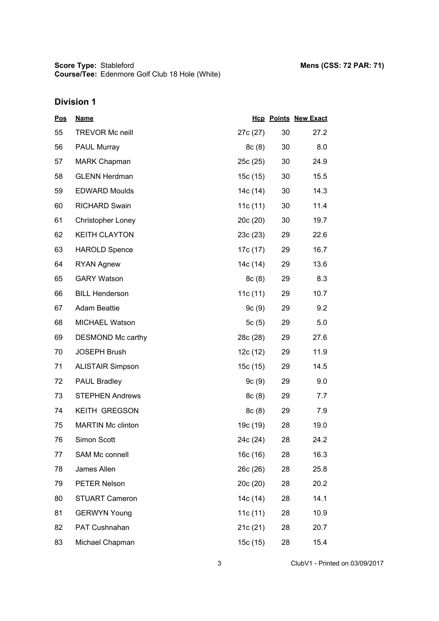| <u>Pos</u> | <b>Name</b>              |            |    | <b>Hcp Points New Exact</b> |
|------------|--------------------------|------------|----|-----------------------------|
| 55         | <b>TREVOR Mc neill</b>   | 27c (27)   | 30 | 27.2                        |
| 56         | <b>PAUL Murray</b>       | 8c(8)      | 30 | 8.0                         |
| 57         | <b>MARK Chapman</b>      | 25c (25)   | 30 | 24.9                        |
| 58         | <b>GLENN Herdman</b>     | 15c(15)    | 30 | 15.5                        |
| 59         | <b>EDWARD Moulds</b>     | 14c (14)   | 30 | 14.3                        |
| 60         | <b>RICHARD Swain</b>     | 11c $(11)$ | 30 | 11.4                        |
| 61         | <b>Christopher Loney</b> | 20c (20)   | 30 | 19.7                        |
| 62         | <b>KEITH CLAYTON</b>     | 23c(23)    | 29 | 22.6                        |
| 63         | <b>HAROLD Spence</b>     | 17c (17)   | 29 | 16.7                        |
| 64         | <b>RYAN Agnew</b>        | 14c (14)   | 29 | 13.6                        |
| 65         | <b>GARY Watson</b>       | 8c(8)      | 29 | 8.3                         |
| 66         | <b>BILL Henderson</b>    | 11c(11)    | 29 | 10.7                        |
| 67         | <b>Adam Beattie</b>      | 9c(9)      | 29 | 9.2                         |
| 68         | MICHAEL Watson           | 5c(5)      | 29 | 5.0                         |
| 69         | DESMOND Mc carthy        | 28c (28)   | 29 | 27.6                        |
| 70         | <b>JOSEPH Brush</b>      | 12c(12)    | 29 | 11.9                        |
| 71         | <b>ALISTAIR Simpson</b>  | 15c(15)    | 29 | 14.5                        |
| 72         | <b>PAUL Bradley</b>      | 9c(9)      | 29 | 9.0                         |
| 73         | <b>STEPHEN Andrews</b>   | 8c(8)      | 29 | 7.7                         |
| 74         | <b>KEITH GREGSON</b>     | 8c(8)      | 29 | 7.9                         |
| 75         | <b>MARTIN Mc clinton</b> | 19c (19)   | 28 | 19.0                        |
| 76         | Simon Scott              | 24c (24)   | 28 | 24.2                        |
| 77         | SAM Mc connell           | 16c(16)    | 28 | 16.3                        |
| 78         | James Allen              | 26c (26)   | 28 | 25.8                        |
| 79         | PETER Nelson             | 20c (20)   | 28 | 20.2                        |
| 80         | <b>STUART Cameron</b>    | 14c (14)   | 28 | 14.1                        |
| 81         | <b>GERWYN Young</b>      | 11c(11)    | 28 | 10.9                        |
| 82         | PAT Cushnahan            | 21c (21)   | 28 | 20.7                        |
| 83         | Michael Chapman          | 15c (15)   | 28 | 15.4                        |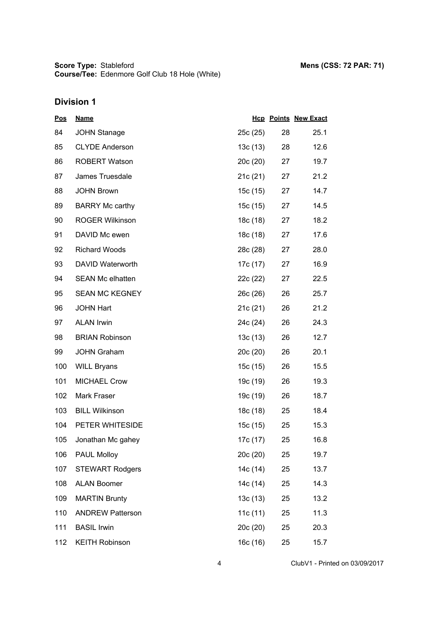| <u>Pos</u> | <b>Name</b>             |          |    | <b>Hcp Points New Exact</b> |
|------------|-------------------------|----------|----|-----------------------------|
| 84         | <b>JOHN Stanage</b>     | 25c(25)  | 28 | 25.1                        |
| 85         | <b>CLYDE Anderson</b>   | 13c(13)  | 28 | 12.6                        |
| 86         | <b>ROBERT Watson</b>    | 20c(20)  | 27 | 19.7                        |
| 87         | James Truesdale         | 21c(21)  | 27 | 21.2                        |
| 88         | <b>JOHN Brown</b>       | 15c (15) | 27 | 14.7                        |
| 89         | <b>BARRY Mc carthy</b>  | 15c (15) | 27 | 14.5                        |
| 90         | <b>ROGER Wilkinson</b>  | 18c (18) | 27 | 18.2                        |
| 91         | DAVID Mc ewen           | 18c (18) | 27 | 17.6                        |
| 92         | <b>Richard Woods</b>    | 28c (28) | 27 | 28.0                        |
| 93         | DAVID Waterworth        | 17c (17) | 27 | 16.9                        |
| 94         | <b>SEAN Mc elhatten</b> | 22c (22) | 27 | 22.5                        |
| 95         | <b>SEAN MC KEGNEY</b>   | 26c(26)  | 26 | 25.7                        |
| 96         | <b>JOHN Hart</b>        | 21c(21)  | 26 | 21.2                        |
| 97         | <b>ALAN Irwin</b>       | 24c (24) | 26 | 24.3                        |
| 98         | <b>BRIAN Robinson</b>   | 13c(13)  | 26 | 12.7                        |
| 99         | <b>JOHN Graham</b>      | 20c(20)  | 26 | 20.1                        |
| 100        | <b>WILL Bryans</b>      | 15c (15) | 26 | 15.5                        |
| 101        | <b>MICHAEL Crow</b>     | 19c (19) | 26 | 19.3                        |
| 102        | Mark Fraser             | 19c (19) | 26 | 18.7                        |
| 103        | <b>BILL Wilkinson</b>   | 18c (18) | 25 | 18.4                        |
| 104        | PETER WHITESIDE         | 15c (15) | 25 | 15.3                        |
| 105        | Jonathan Mc gahey       | 17c (17) | 25 | 16.8                        |
| 106        | <b>PAUL Molloy</b>      | 20c (20) | 25 | 19.7                        |
| 107        | <b>STEWART Rodgers</b>  | 14c (14) | 25 | 13.7                        |
| 108        | <b>ALAN Boomer</b>      | 14c (14) | 25 | 14.3                        |
| 109        | <b>MARTIN Brunty</b>    | 13c(13)  | 25 | 13.2                        |
| 110        | <b>ANDREW Patterson</b> | 11c(11)  | 25 | 11.3                        |
| 111        | <b>BASIL Irwin</b>      | 20c (20) | 25 | 20.3                        |
| 112        | <b>KEITH Robinson</b>   | 16c (16) | 25 | 15.7                        |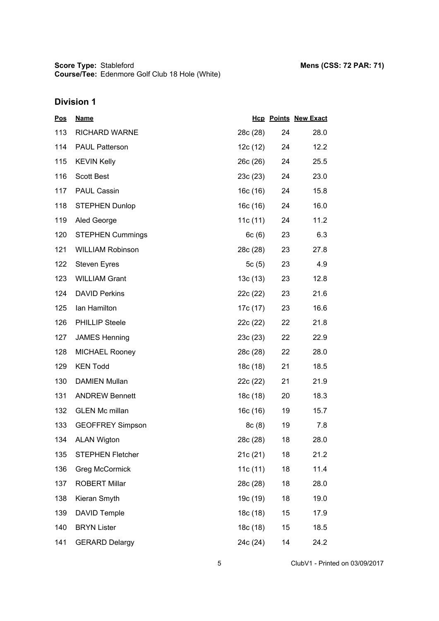| <u>Pos</u> | <b>Name</b>             |          |    | <b>Hcp Points New Exact</b> |
|------------|-------------------------|----------|----|-----------------------------|
| 113        | <b>RICHARD WARNE</b>    | 28c (28) | 24 | 28.0                        |
| 114        | <b>PAUL Patterson</b>   | 12c (12) | 24 | 12.2                        |
| 115        | <b>KEVIN Kelly</b>      | 26c (26) | 24 | 25.5                        |
| 116        | <b>Scott Best</b>       | 23c(23)  | 24 | 23.0                        |
| 117        | <b>PAUL Cassin</b>      | 16c (16) | 24 | 15.8                        |
| 118        | <b>STEPHEN Dunlop</b>   | 16c (16) | 24 | 16.0                        |
| 119        | Aled George             | 11c(11)  | 24 | 11.2                        |
| 120        | <b>STEPHEN Cummings</b> | 6c(6)    | 23 | 6.3                         |
| 121        | <b>WILLIAM Robinson</b> | 28c (28) | 23 | 27.8                        |
| 122        | <b>Steven Eyres</b>     | 5 $c(5)$ | 23 | 4.9                         |
| 123        | <b>WILLIAM Grant</b>    | 13c (13) | 23 | 12.8                        |
| 124        | <b>DAVID Perkins</b>    | 22c (22) | 23 | 21.6                        |
| 125        | Ian Hamilton            | 17c (17) | 23 | 16.6                        |
| 126        | <b>PHILLIP Steele</b>   | 22c (22) | 22 | 21.8                        |
| 127        | <b>JAMES Henning</b>    | 23c (23) | 22 | 22.9                        |
| 128        | <b>MICHAEL Rooney</b>   | 28c (28) | 22 | 28.0                        |
| 129        | <b>KEN Todd</b>         | 18c (18) | 21 | 18.5                        |
| 130        | <b>DAMIEN Mullan</b>    | 22c (22) | 21 | 21.9                        |
| 131        | <b>ANDREW Bennett</b>   | 18c (18) | 20 | 18.3                        |
| 132        | <b>GLEN Mc millan</b>   | 16c (16) | 19 | 15.7                        |
| 133        | <b>GEOFFREY Simpson</b> | 8c(8)    | 19 | 7.8                         |
| 134        | <b>ALAN Wigton</b>      | 28c (28) | 18 | 28.0                        |
| 135        | <b>STEPHEN Fletcher</b> | 21c(21)  | 18 | 21.2                        |
| 136        | <b>Greg McCormick</b>   | 11c(11)  | 18 | 11.4                        |
| 137        | <b>ROBERT Millar</b>    | 28c (28) | 18 | 28.0                        |
| 138        | Kieran Smyth            | 19c (19) | 18 | 19.0                        |
| 139        | <b>DAVID Temple</b>     | 18c (18) | 15 | 17.9                        |
| 140        | <b>BRYN Lister</b>      | 18c (18) | 15 | 18.5                        |
| 141        | <b>GERARD Delargy</b>   | 24c (24) | 14 | 24.2                        |